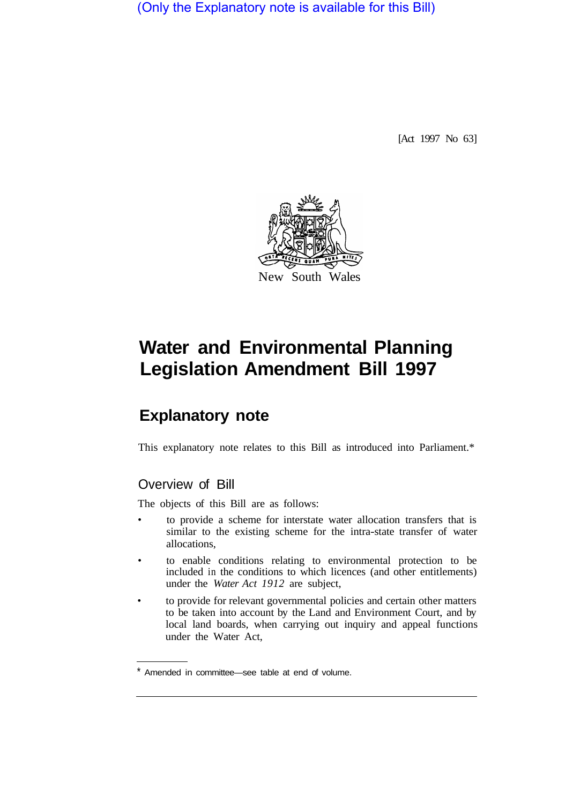(Only the Explanatory note is available for this Bill)

[Act 1997 No 63]



# **Water and Environmental Planning Legislation Amendment Bill 1997**

# **Explanatory note**

This explanatory note relates to this Bill as introduced into Parliament.\*

# Overview of Bill

The objects of this Bill are as follows:

- to provide a scheme for interstate water allocation transfers that is similar to the existing scheme for the intra-state transfer of water allocations,
- to enable conditions relating to environmental protection to be included in the conditions to which licences (and other entitlements) under the *Water Act 1912* are subject,
- to provide for relevant governmental policies and certain other matters to be taken into account by the Land and Environment Court, and by local land boards, when carrying out inquiry and appeal functions under the Water Act,

Amended in committee—see table at end of volume.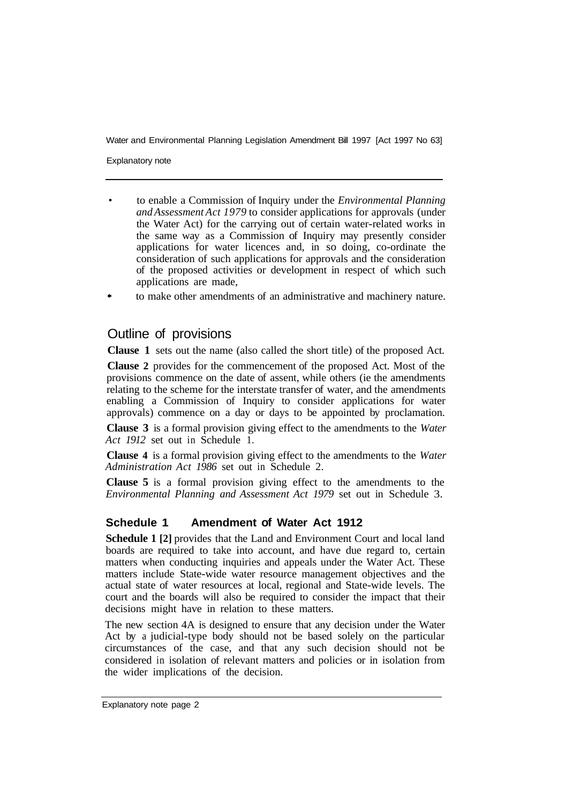Explanatory note

- to enable a Commission of Inquiry under the *Environmental Planning and Assessment Act 1979* to consider applications for approvals (under the Water Act) for the carrying out of certain water-related works in the same way as a Commission of Inquiry may presently consider applications for water licences and, in so doing, co-ordinate the consideration of such applications for approvals and the consideration of the proposed activities or development in respect of which such applications are made,
- to make other amendments of an administrative and machinery nature.

## Outline of provisions

**Clause 1** sets out the name (also called the short title) of the proposed Act.

**Clause 2** provides for the commencement of the proposed Act. Most of the provisions commence on the date of assent, while others (ie the amendments relating to the scheme for the interstate transfer of water, and the amendments enabling a Commission of Inquiry to consider applications for water approvals) commence on a day or days to be appointed by proclamation.

**Clause 3** is a formal provision giving effect to the amendments to the *Water Act 1912* set out in Schedule 1.

**Clause 4** is a formal provision giving effect to the amendments to the *Water Administration Act 1986* set out in Schedule 2.

**Clause 5** is a formal provision giving effect to the amendments to the *Environmental Planning and Assessment Act 1979* set out in Schedule 3.

#### **Schedule 1 Amendment of Water Act 1912**

**Schedule 1 [2]** provides that the Land and Environment Court and local land boards are required to take into account, and have due regard to, certain matters when conducting inquiries and appeals under the Water Act. These matters include State-wide water resource management objectives and the actual state of water resources at local, regional and State-wide levels. The court and the boards will also be required to consider the impact that their decisions might have in relation to these matters.

The new section 4A is designed to ensure that any decision under the Water Act by a judicial-type body should not be based solely on the particular circumstances of the case, and that any such decision should not be considered in isolation of relevant matters and policies or in isolation from the wider implications of the decision.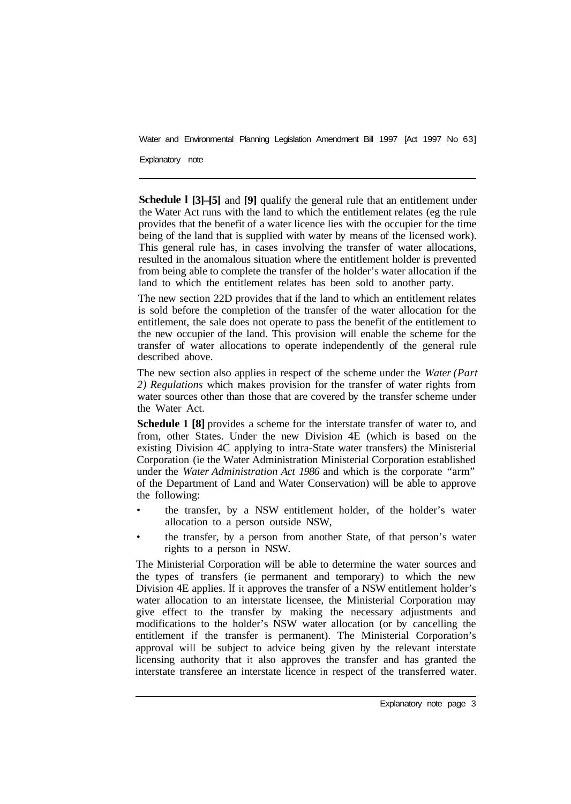Explanatory note

**Schedule l [3]–[5]** and **[9]** qualify the general rule that an entitlement under the Water Act runs with the land to which the entitlement relates (eg the rule provides that the benefit of a water licence lies with the occupier for the time being of the land that is supplied with water by means of the licensed work). This general rule has, in cases involving the transfer of water allocations, resulted in the anomalous situation where the entitlement holder is prevented from being able to complete the transfer of the holder's water allocation if the land to which the entitlement relates has been sold to another party.

The new section 22D provides that if the land to which an entitlement relates is sold before the completion of the transfer of the water allocation for the entitlement, the sale does not operate to pass the benefit of the entitlement to the new occupier of the land. This provision will enable the scheme for the transfer of water allocations to operate independently of the general rule described above.

The new section also applies in respect of the scheme under the *Water (Part 2) Regulations* which makes provision for the transfer of water rights from water sources other than those that are covered by the transfer scheme under the Water Act.

**Schedule 1 [8]** provides a scheme for the interstate transfer of water to, and from, other States. Under the new Division 4E (which is based on the existing Division 4C applying to intra-State water transfers) the Ministerial Corporation (ie the Water Administration Ministerial Corporation established under the *Water Administration Act 1986* and which is the corporate "arm" of the Department of Land and Water Conservation) will be able to approve the following:

- the transfer, by a NSW entitlement holder, of the holder's water allocation to a person outside NSW,
- the transfer, by a person from another State, of that person's water rights to a person in NSW.

The Ministerial Corporation will be able to determine the water sources and the types of transfers (ie permanent and temporary) to which the new Division 4E applies. If it approves the transfer of a NSW entitlement holder's water allocation to an interstate licensee, the Ministerial Corporation may give effect to the transfer by making the necessary adjustments and modifications to the holder's NSW water allocation (or by cancelling the entitlement if the transfer is permanent). The Ministerial Corporation's approval will be subject to advice being given by the relevant interstate licensing authority that it also approves the transfer and has granted the interstate transferee an interstate licence in respect of the transferred water.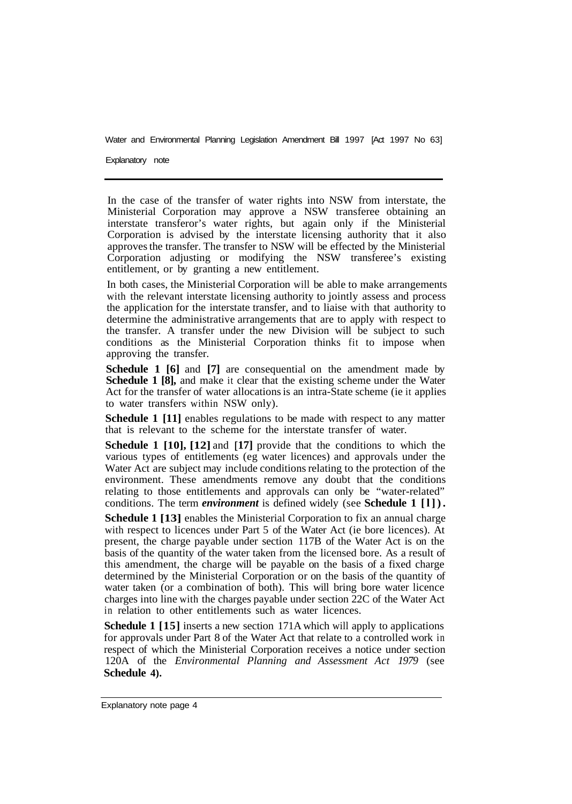Explanatory note

In the case of the transfer of water rights into NSW from interstate, the Ministerial Corporation may approve a NSW transferee obtaining an interstate transferor's water rights, but again only if the Ministerial Corporation is advised by the interstate licensing authority that it also approves the transfer. The transfer to NSW will be effected by the Ministerial Corporation adjusting or modifying the NSW transferee's existing entitlement, or by granting a new entitlement.

In both cases, the Ministerial Corporation will be able to make arrangements with the relevant interstate licensing authority to jointly assess and process the application for the interstate transfer, and to liaise with that authority to determine the administrative arrangements that are to apply with respect to the transfer. A transfer under the new Division will be subject to such conditions as the Ministerial Corporation thinks fit to impose when approving the transfer.

**Schedule 1 [6]** and **[7]** are consequential on the amendment made by **Schedule 1 [8],** and make it clear that the existing scheme under the Water Act for the transfer of water allocations is an intra-State scheme (ie it applies to water transfers within NSW only).

**Schedule 1 [11]** enables regulations to be made with respect to any matter that is relevant to the scheme for the interstate transfer of water.

**Schedule 1 [10], [12] and [17] provide that the conditions to which the** various types of entitlements (eg water licences) and approvals under the Water Act are subject may include conditions relating to the protection of the environment. These amendments remove any doubt that the conditions relating to those entitlements and approvals can only be "water-related" conditions. The term *environment* is defined widely (see **Schedule 1 [l]).** 

**Schedule 1 [13]** enables the Ministerial Corporation to fix an annual charge with respect to licences under Part 5 of the Water Act (ie bore licences). At present, the charge payable under section 117B of the Water Act is on the basis of the quantity of the water taken from the licensed bore. As a result of this amendment, the charge will be payable on the basis of a fixed charge determined by the Ministerial Corporation or on the basis of the quantity of water taken (or a combination of both). This will bring bore water licence charges into line with the charges payable under section 22C of the Water Act in relation to other entitlements such as water licences.

**Schedule 1** [15] inserts a new section 171A which will apply to applications for approvals under Part 8 of the Water Act that relate to a controlled work in respect of which the Ministerial Corporation receives a notice under section 120A of the *Environmental Planning and Assessment Act 1979* (see **Schedule 4).**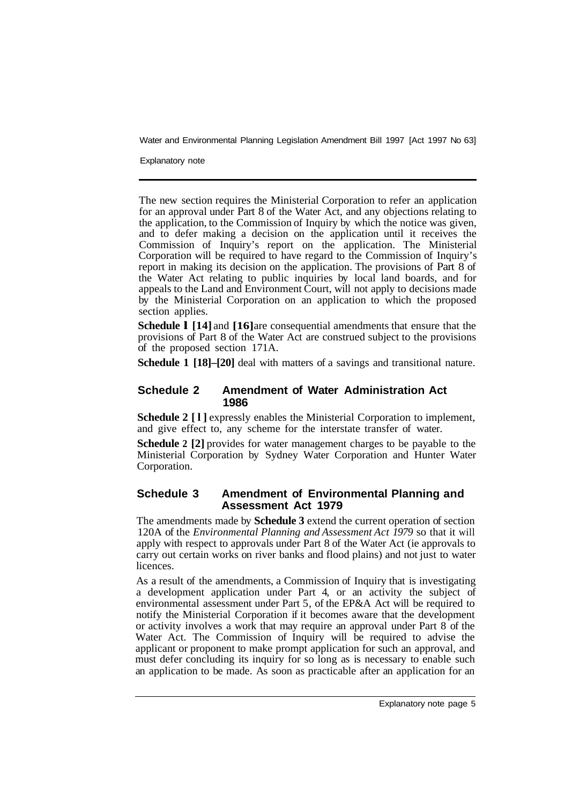Explanatory note

The new section requires the Ministerial Corporation to refer an application for an approval under Part 8 of the Water Act, and any objections relating to the application, to the Commission of Inquiry by which the notice was given, and to defer making a decision on the application until it receives the Commission of Inquiry's report on the application. The Ministerial Corporation will be required to have regard to the Commission of Inquiry's report in making its decision on the application. The provisions of Part 8 of the Water Act relating to public inquiries by local land boards, and for appeals to the Land and Environment Court, will not apply to decisions made by the Ministerial Corporation on an application to which the proposed section applies.

**Schedule 1 [14]** and **[16]** are consequential amendments that ensure that the provisions of Part 8 of the Water Act are construed subject to the provisions of the proposed section 171A.

**Schedule 1 [18]–[20]** deal with matters of a savings and transitional nature.

### **Schedule 2 Amendment of Water Administration Act 1986**

**Schedule 2 [l]** expressly enables the Ministerial Corporation to implement, and give effect to, any scheme for the interstate transfer of water.

**Schedule 2 [2]** provides for water management charges to be payable to the Ministerial Corporation by Sydney Water Corporation and Hunter Water Corporation.

### **Schedule 3 Amendment of Environmental Planning and Assessment Act 1979**

The amendments made by **Schedule 3** extend the current operation of section 120A of the *Environmental Planning and Assessment Act 1979* so that it will apply with respect to approvals under Part 8 of the Water Act (ie approvals to carry out certain works on river banks and flood plains) and not just to water licences.

As a result of the amendments, a Commission of Inquiry that is investigating a development application under Part 4, or an activity the subject of environmental assessment under Part 5, of the EP&A Act will be required to notify the Ministerial Corporation if it becomes aware that the development or activity involves a work that may require an approval under Part 8 of the Water Act. The Commission of Inquiry will be required to advise the applicant or proponent to make prompt application for such an approval, and must defer concluding its inquiry for so long as is necessary to enable such an application to be made. As soon as practicable after an application for an